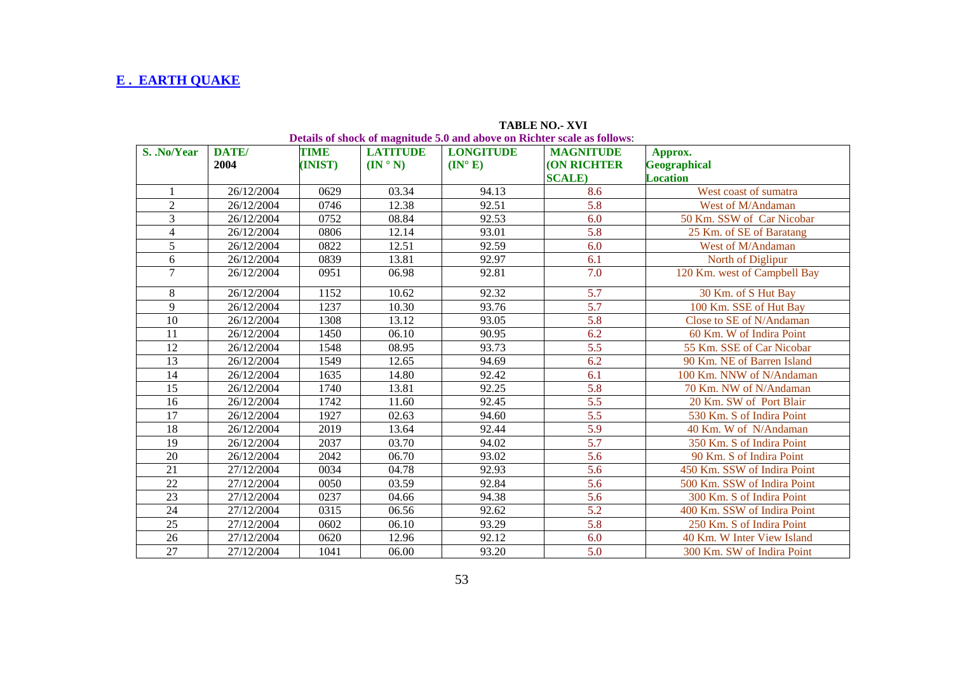## **E . EARTH QUAKE**

|                 |               |                        |                                                     |                                     | <b>TABLE NO.- XVI</b><br>Details of shock of magnitude 5.0 and above on Richter scale as follows: |                                                   |
|-----------------|---------------|------------------------|-----------------------------------------------------|-------------------------------------|---------------------------------------------------------------------------------------------------|---------------------------------------------------|
| S. .No/Year     | DATE/<br>2004 | <b>TIME</b><br>(INIST) | <b>LATITUDE</b><br>$(\mathbf{IN} \circ \mathbf{N})$ | <b>LONGITUDE</b><br>$(IN^{\circ}E)$ | <b>MAGNITUDE</b><br><b>(ON RICHTER</b><br><b>SCALE</b> )                                          | Approx.<br><b>Geographical</b><br><b>Location</b> |
|                 | 26/12/2004    | 0629                   | 03.34                                               | 94.13                               | 8.6                                                                                               | West coast of sumatra                             |
| $\overline{2}$  | 26/12/2004    | 0746                   | 12.38                                               | 92.51                               | 5.8                                                                                               | West of M/Andaman                                 |
| 3               | 26/12/2004    | 0752                   | 08.84                                               | 92.53                               | 6.0                                                                                               | 50 Km. SSW of Car Nicobar                         |
| 4               | 26/12/2004    | 0806                   | 12.14                                               | 93.01                               | 5.8                                                                                               | 25 Km. of SE of Baratang                          |
| 5               | 26/12/2004    | 0822                   | 12.51                                               | 92.59                               | 6.0                                                                                               | West of M/Andaman                                 |
| 6               | 26/12/2004    | 0839                   | 13.81                                               | 92.97                               | 6.1                                                                                               | North of Diglipur                                 |
| $\overline{7}$  | 26/12/2004    | 0951                   | 06.98                                               | 92.81                               | 7.0                                                                                               | 120 Km. west of Campbell Bay                      |
| 8               | 26/12/2004    | 1152                   | 10.62                                               | 92.32                               | 5.7                                                                                               | 30 Km. of S Hut Bay                               |
| 9               | 26/12/2004    | 1237                   | 10.30                                               | 93.76                               | 5.7                                                                                               | 100 Km. SSE of Hut Bay                            |
| 10              | 26/12/2004    | 1308                   | 13.12                                               | 93.05                               | 5.8                                                                                               | Close to SE of N/Andaman                          |
| 11              | 26/12/2004    | 1450                   | 06.10                                               | 90.95                               | 6.2                                                                                               | 60 Km. W of Indira Point                          |
| 12              | 26/12/2004    | 1548                   | 08.95                                               | 93.73                               | 5.5                                                                                               | 55 Km. SSE of Car Nicobar                         |
| 13              | 26/12/2004    | 1549                   | 12.65                                               | 94.69                               | 6.2                                                                                               | 90 Km. NE of Barren Island                        |
| 14              | 26/12/2004    | 1635                   | 14.80                                               | 92.42                               | 6.1                                                                                               | 100 Km. NNW of N/Andaman                          |
| 15              | 26/12/2004    | 1740                   | 13.81                                               | 92.25                               | 5.8                                                                                               | 70 Km. NW of N/Andaman                            |
| 16              | 26/12/2004    | 1742                   | 11.60                                               | 92.45                               | 5.5                                                                                               | 20 Km. SW of Port Blair                           |
| 17              | 26/12/2004    | 1927                   | 02.63                                               | 94.60                               | 5.5                                                                                               | 530 Km. S of Indira Point                         |
| 18              | 26/12/2004    | 2019                   | 13.64                                               | 92.44                               | 5.9                                                                                               | 40 Km. W of N/Andaman                             |
| 19              | 26/12/2004    | 2037                   | 03.70                                               | 94.02                               | 5.7                                                                                               | 350 Km. S of Indira Point                         |
| 20              | 26/12/2004    | 2042                   | 06.70                                               | 93.02                               | 5.6                                                                                               | 90 Km. S of Indira Point                          |
| 21              | 27/12/2004    | 0034                   | 04.78                                               | 92.93                               | 5.6                                                                                               | 450 Km. SSW of Indira Point                       |
| 22              | 27/12/2004    | 0050                   | 03.59                                               | 92.84                               | 5.6                                                                                               | 500 Km. SSW of Indira Point                       |
| 23              | 27/12/2004    | 0237                   | 04.66                                               | 94.38                               | $\overline{5.6}$                                                                                  | 300 Km. S of Indira Point                         |
| 24              | 27/12/2004    | 0315                   | 06.56                                               | 92.62                               | 5.2                                                                                               | 400 Km. SSW of Indira Point                       |
| 25              | 27/12/2004    | 0602                   | 06.10                                               | 93.29                               | 5.8                                                                                               | 250 Km. S of Indira Point                         |
| 26              | 27/12/2004    | 0620                   | 12.96                                               | 92.12                               | 6.0                                                                                               | 40 Km. W Inter View Island                        |
| $\overline{27}$ | 27/12/2004    | 1041                   | 06.00                                               | 93.20                               | $\overline{5.0}$                                                                                  | 300 Km. SW of Indira Point                        |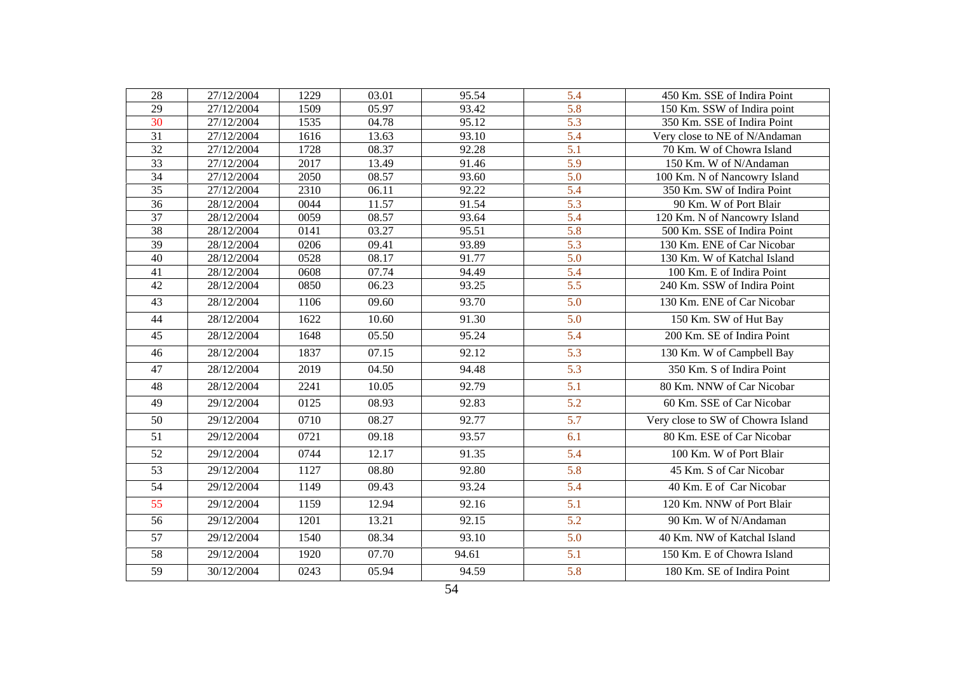| 28              | 27/12/2004              | 1229 | 03.01 | 95.54 | 5.4              | 450 Km. SSE of Indira Point       |
|-----------------|-------------------------|------|-------|-------|------------------|-----------------------------------|
| 29              | 27/12/2004              | 1509 | 05.97 | 93.42 | 5.8              | 150 Km. SSW of Indira point       |
| 30              | 27/12/2004              | 1535 | 04.78 | 95.12 | 5.3              | 350 Km. SSE of Indira Point       |
| $\overline{31}$ | 27/12/2004              | 1616 | 13.63 | 93.10 | 5.4              | Very close to NE of N/Andaman     |
| 32              | 27/12/2004              | 1728 | 08.37 | 92.28 | $\overline{5.1}$ | 70 Km. W of Chowra Island         |
| 33              | 27/12/2004              | 2017 | 13.49 | 91.46 | 5.9              | 150 Km. W of N/Andaman            |
| 34              | 27/12/2004              | 2050 | 08.57 | 93.60 | 5.0              | 100 Km. N of Nancowry Island      |
| $\overline{35}$ | $\overline{27/12/2004}$ | 2310 | 06.11 | 92.22 | 5.4              | 350 Km. SW of Indira Point        |
| 36              | 28/12/2004              | 0044 | 11.57 | 91.54 | 5.3              | 90 Km. W of Port Blair            |
| 37              | 28/12/2004              | 0059 | 08.57 | 93.64 | 5.4              | 120 Km. N of Nancowry Island      |
| 38              | 28/12/2004              | 0141 | 03.27 | 95.51 | 5.8              | 500 Km. SSE of Indira Point       |
| $\overline{39}$ | 28/12/2004              | 0206 | 09.41 | 93.89 | $\overline{5.3}$ | 130 Km. ENE of Car Nicobar        |
| 40              | 28/12/2004              | 0528 | 08.17 | 91.77 | 5.0              | 130 Km. W of Katchal Island       |
| 41              | 28/12/2004              | 0608 | 07.74 | 94.49 | 5.4              | 100 Km. E of Indira Point         |
| 42              | 28/12/2004              | 0850 | 06.23 | 93.25 | $\overline{5.5}$ | 240 Km. SSW of Indira Point       |
| 43              | 28/12/2004              | 1106 | 09.60 | 93.70 | 5.0              | 130 Km. ENE of Car Nicobar        |
| 44              | 28/12/2004              | 1622 | 10.60 | 91.30 | 5.0              | 150 Km. SW of Hut Bay             |
| 45              | 28/12/2004              | 1648 | 05.50 | 95.24 | 5.4              | 200 Km. SE of Indira Point        |
| 46              | 28/12/2004              | 1837 | 07.15 | 92.12 | 5.3              | 130 Km. W of Campbell Bay         |
| 47              | 28/12/2004              | 2019 | 04.50 | 94.48 | 5.3              | 350 Km. S of Indira Point         |
| 48              | 28/12/2004              | 2241 | 10.05 | 92.79 | 5.1              | 80 Km. NNW of Car Nicobar         |
| 49              | 29/12/2004              | 0125 | 08.93 | 92.83 | $\overline{5.2}$ | 60 Km. SSE of Car Nicobar         |
| 50              | 29/12/2004              | 0710 | 08.27 | 92.77 | 5.7              | Very close to SW of Chowra Island |
| 51              | 29/12/2004              | 0721 | 09.18 | 93.57 | 6.1              | 80 Km. ESE of Car Nicobar         |
| 52              | 29/12/2004              | 0744 | 12.17 | 91.35 | 5.4              | 100 Km. W of Port Blair           |
| $\overline{53}$ | 29/12/2004              | 1127 | 08.80 | 92.80 | 5.8              | 45 Km. S of Car Nicobar           |
| 54              | 29/12/2004              | 1149 | 09.43 | 93.24 | 5.4              | 40 Km. E of Car Nicobar           |
| 55              | 29/12/2004              | 1159 | 12.94 | 92.16 | 5.1              | 120 Km. NNW of Port Blair         |
| $\overline{56}$ | 29/12/2004              | 1201 | 13.21 | 92.15 | 5.2              | 90 Km. W of N/Andaman             |
| 57              | 29/12/2004              | 1540 | 08.34 | 93.10 | 5.0              | 40 Km. NW of Katchal Island       |
| $\overline{58}$ | 29/12/2004              | 1920 | 07.70 | 94.61 | 5.1              | 150 Km. E of Chowra Island        |
| 59              | 30/12/2004              | 0243 | 05.94 | 94.59 | 5.8              | 180 Km. SE of Indira Point        |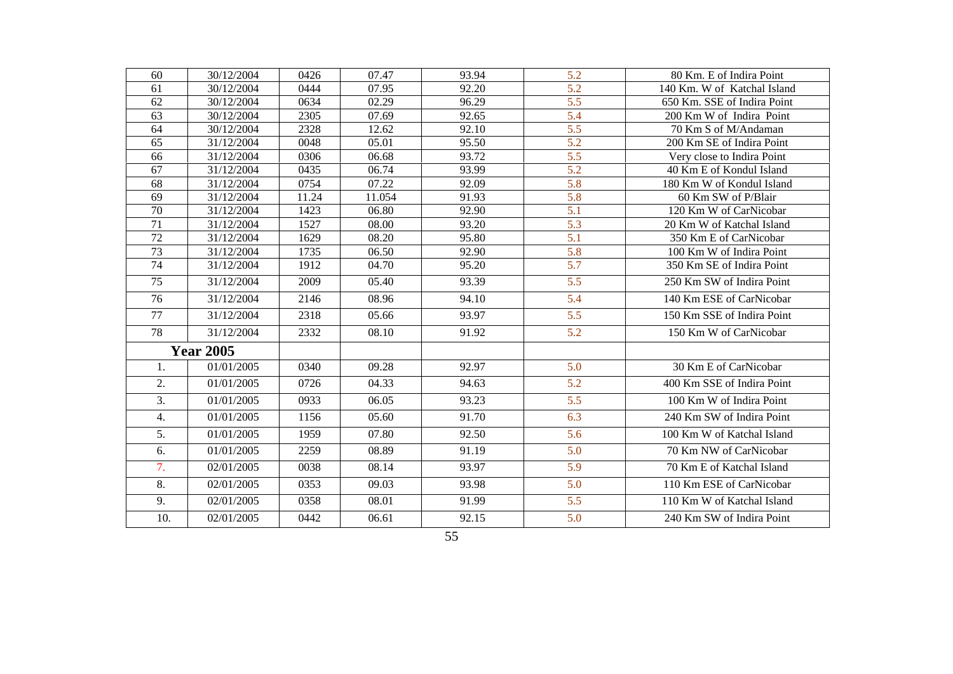| 60              | 30/12/2004       | 0426  | 07.47  | 93.94 | 5.2              | 80 Km. E of Indira Point    |
|-----------------|------------------|-------|--------|-------|------------------|-----------------------------|
| 61              | 30/12/2004       | 0444  | 07.95  | 92.20 | 5.2              | 140 Km. W of Katchal Island |
| 62              | 30/12/2004       | 0634  | 02.29  | 96.29 | 5.5              | 650 Km. SSE of Indira Point |
| 63              | 30/12/2004       | 2305  | 07.69  | 92.65 | 5.4              | 200 Km W of Indira Point    |
| 64              | 30/12/2004       | 2328  | 12.62  | 92.10 | $\overline{5.5}$ | 70 Km S of M/Andaman        |
| 65              | 31/12/2004       | 0048  | 05.01  | 95.50 | 5.2              | 200 Km SE of Indira Point   |
| 66              | 31/12/2004       | 0306  | 06.68  | 93.72 | $\overline{5.5}$ | Very close to Indira Point  |
| 67              | 31/12/2004       | 0435  | 06.74  | 93.99 | 5.2              | 40 Km E of Kondul Island    |
| 68              | 31/12/2004       | 0754  | 07.22  | 92.09 | $\overline{5.8}$ | 180 Km W of Kondul Island   |
| 69              | 31/12/2004       | 11.24 | 11.054 | 91.93 | 5.8              | 60 Km SW of P/Blair         |
| $\overline{70}$ | 31/12/2004       | 1423  | 06.80  | 92.90 | 5.1              | 120 Km W of CarNicobar      |
| 71              | 31/12/2004       | 1527  | 08.00  | 93.20 | 5.3              | 20 Km W of Katchal Island   |
| $\overline{72}$ | 31/12/2004       | 1629  | 08.20  | 95.80 | $\overline{5.1}$ | 350 Km E of CarNicobar      |
| 73              | 31/12/2004       | 1735  | 06.50  | 92.90 | 5.8              | 100 Km W of Indira Point    |
| $\overline{74}$ | 31/12/2004       | 1912  | 04.70  | 95.20 | $\overline{5.7}$ | 350 Km SE of Indira Point   |
| 75              | 31/12/2004       | 2009  | 05.40  | 93.39 | 5.5              | 250 Km SW of Indira Point   |
| 76              | 31/12/2004       | 2146  | 08.96  | 94.10 | 5.4              | 140 Km ESE of CarNicobar    |
| 77              | 31/12/2004       | 2318  | 05.66  | 93.97 | 5.5              | 150 Km SSE of Indira Point  |
| 78              | 31/12/2004       | 2332  | 08.10  | 91.92 | 5.2              | 150 Km W of CarNicobar      |
|                 | <b>Year 2005</b> |       |        |       |                  |                             |
| 1.              | 01/01/2005       | 0340  | 09.28  | 92.97 | 5.0              | 30 Km E of CarNicobar       |
| 2.              | 01/01/2005       | 0726  | 04.33  | 94.63 | 5.2              | 400 Km SSE of Indira Point  |
| 3.              | 01/01/2005       | 0933  | 06.05  | 93.23 | 5.5              | 100 Km W of Indira Point    |
| 4.              | 01/01/2005       | 1156  | 05.60  | 91.70 | 6.3              | 240 Km SW of Indira Point   |
| 5.              | 01/01/2005       | 1959  | 07.80  | 92.50 | 5.6              | 100 Km W of Katchal Island  |
| 6.              | 01/01/2005       | 2259  | 08.89  | 91.19 | 5.0              | 70 Km NW of CarNicobar      |
| 7.              | 02/01/2005       | 0038  | 08.14  | 93.97 | 5.9              | 70 Km E of Katchal Island   |
| 8.              | 02/01/2005       | 0353  | 09.03  | 93.98 | 5.0              | 110 Km ESE of CarNicobar    |
| 9.              | 02/01/2005       | 0358  | 08.01  | 91.99 | 5.5              | 110 Km W of Katchal Island  |
| 10.             | 02/01/2005       | 0442  | 06.61  | 92.15 | 5.0              | 240 Km SW of Indira Point   |
|                 |                  |       |        | 55    |                  |                             |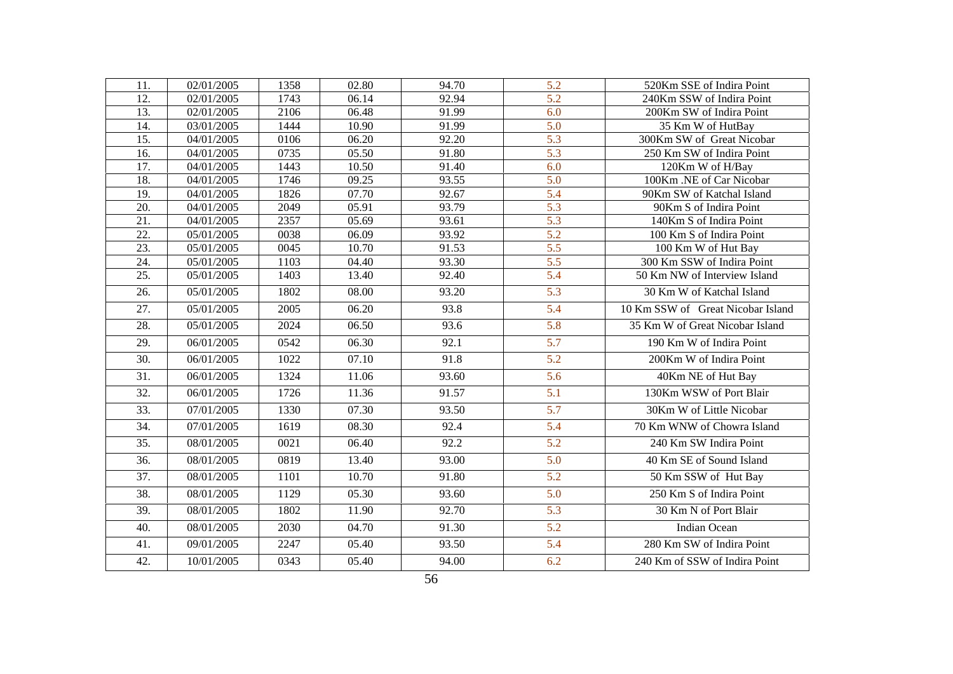| 11.               | 02/01/2005 | 1358 | 02.80 | 94.70 | 5.2              | 520Km SSE of Indira Point         |
|-------------------|------------|------|-------|-------|------------------|-----------------------------------|
| 12.               | 02/01/2005 | 1743 | 06.14 | 92.94 | $\overline{5.2}$ | 240Km SSW of Indira Point         |
| 13.               | 02/01/2005 | 2106 | 06.48 | 91.99 | 6.0              | 200Km SW of Indira Point          |
| 14.               | 03/01/2005 | 1444 | 10.90 | 91.99 | 5.0              | 35 Km W of HutBay                 |
| 15.               | 04/01/2005 | 0106 | 06.20 | 92.20 | $\overline{5.3}$ | 300Km SW of Great Nicobar         |
| 16.               | 04/01/2005 | 0735 | 05.50 | 91.80 | 5.3              | 250 Km SW of Indira Point         |
| 17.               | 04/01/2005 | 1443 | 10.50 | 91.40 | 6.0              | 120Km W of H/Bay                  |
| 18.               | 04/01/2005 | 1746 | 09.25 | 93.55 | 5.0              | 100Km .NE of Car Nicobar          |
| 19.               | 04/01/2005 | 1826 | 07.70 | 92.67 | 5.4              | 90Km SW of Katchal Island         |
| 20.               | 04/01/2005 | 2049 | 05.91 | 93.79 | 5.3              | 90Km S of Indira Point            |
| 21.               | 04/01/2005 | 2357 | 05.69 | 93.61 | $\overline{5.3}$ | 140Km S of Indira Point           |
| $\overline{22}$ . | 05/01/2005 | 0038 | 06.09 | 93.92 | $\overline{5.2}$ | 100 Km S of Indira Point          |
| $\overline{23}$ . | 05/01/2005 | 0045 | 10.70 | 91.53 | $\overline{5.5}$ | 100 Km W of Hut Bay               |
| $\overline{24}$ . | 05/01/2005 | 1103 | 04.40 | 93.30 | 5.5              | 300 Km SSW of Indira Point        |
| $\overline{25}$ . | 05/01/2005 | 1403 | 13.40 | 92.40 | $\overline{5.4}$ | 50 Km NW of Interview Island      |
| 26.               | 05/01/2005 | 1802 | 08.00 | 93.20 | 5.3              | 30 Km W of Katchal Island         |
| 27.               | 05/01/2005 | 2005 | 06.20 | 93.8  | 5.4              | 10 Km SSW of Great Nicobar Island |
| 28.               | 05/01/2005 | 2024 | 06.50 | 93.6  | $\overline{5.8}$ | 35 Km W of Great Nicobar Island   |
| 29.               | 06/01/2005 | 0542 | 06.30 | 92.1  | 5.7              | 190 Km W of Indira Point          |
| 30.               | 06/01/2005 | 1022 | 07.10 | 91.8  | 5.2              | 200Km W of Indira Point           |
| 31.               | 06/01/2005 | 1324 | 11.06 | 93.60 | 5.6              | 40Km NE of Hut Bay                |
| 32.               | 06/01/2005 | 1726 | 11.36 | 91.57 | 5.1              | 130Km WSW of Port Blair           |
| 33.               | 07/01/2005 | 1330 | 07.30 | 93.50 | 5.7              | 30Km W of Little Nicobar          |
| 34.               | 07/01/2005 | 1619 | 08.30 | 92.4  | 5.4              | 70 Km WNW of Chowra Island        |
| 35.               | 08/01/2005 | 0021 | 06.40 | 92.2  | 5.2              | 240 Km SW Indira Point            |
| 36.               | 08/01/2005 | 0819 | 13.40 | 93.00 | 5.0              | 40 Km SE of Sound Island          |
| $\overline{37}$ . | 08/01/2005 | 1101 | 10.70 | 91.80 | $\overline{5.2}$ | 50 Km SSW of Hut Bay              |
| 38.               | 08/01/2005 | 1129 | 05.30 | 93.60 | 5.0              | 250 Km S of Indira Point          |
| 39.               | 08/01/2005 | 1802 | 11.90 | 92.70 | 5.3              | 30 Km N of Port Blair             |
| 40.               | 08/01/2005 | 2030 | 04.70 | 91.30 | 5.2              | <b>Indian Ocean</b>               |
| 41.               | 09/01/2005 | 2247 | 05.40 | 93.50 | 5.4              | 280 Km SW of Indira Point         |
| 42.               | 10/01/2005 | 0343 | 05.40 | 94.00 | 6.2              | 240 Km of SSW of Indira Point     |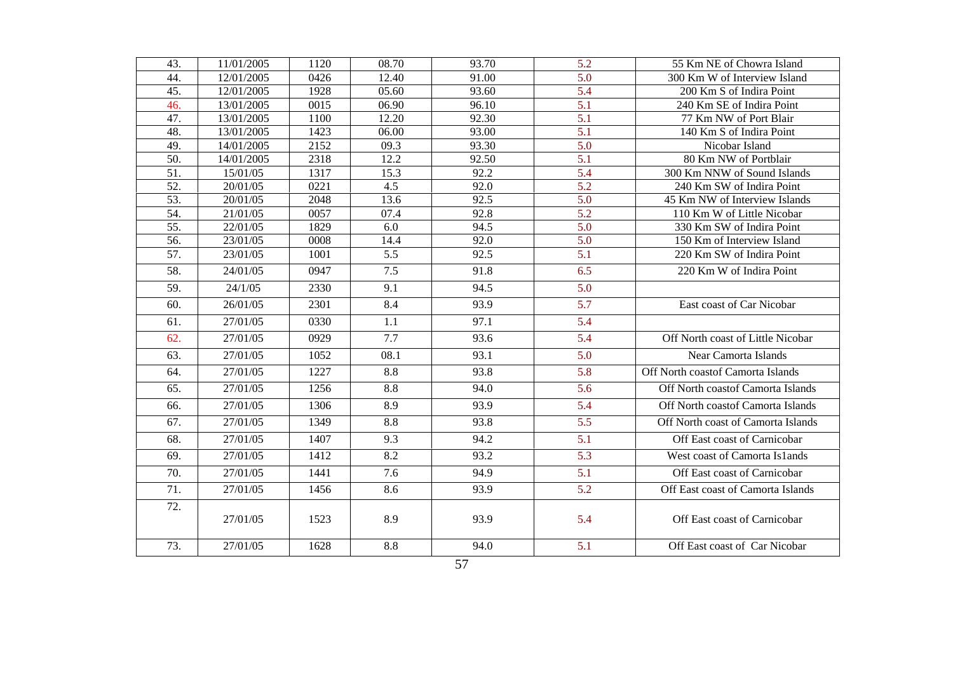| 43. | 11/01/2005 | 1120 | 08.70 | 93.70 | 5.2              | 55 Km NE of Chowra Island          |
|-----|------------|------|-------|-------|------------------|------------------------------------|
| 44. | 12/01/2005 | 0426 | 12.40 | 91.00 | $\overline{5.0}$ | 300 Km W of Interview Island       |
| 45. | 12/01/2005 | 1928 | 05.60 | 93.60 | $\overline{5.4}$ | 200 Km S of Indira Point           |
| 46. | 13/01/2005 | 0015 | 06.90 | 96.10 | $\overline{5.1}$ | 240 Km SE of Indira Point          |
| 47. | 13/01/2005 | 1100 | 12.20 | 92.30 | 5.1              | 77 Km NW of Port Blair             |
| 48. | 13/01/2005 | 1423 | 06.00 | 93.00 | $\overline{5.1}$ | 140 Km S of Indira Point           |
| 49. | 14/01/2005 | 2152 | 09.3  | 93.30 | 5.0              | Nicobar Island                     |
| 50. | 14/01/2005 | 2318 | 12.2  | 92.50 | 5.1              | 80 Km NW of Portblair              |
| 51. | 15/01/05   | 1317 | 15.3  | 92.2  | 5.4              | 300 Km NNW of Sound Islands        |
| 52. | 20/01/05   | 0221 | 4.5   | 92.0  | 5.2              | 240 Km SW of Indira Point          |
| 53. | 20/01/05   | 2048 | 13.6  | 92.5  | 5.0              | 45 Km NW of Interview Islands      |
| 54. | 21/01/05   | 0057 | 07.4  | 92.8  | $\overline{5.2}$ | 110 Km W of Little Nicobar         |
| 55. | 22/01/05   | 1829 | 6.0   | 94.5  | 5.0              | 330 Km SW of Indira Point          |
| 56. | 23/01/05   | 0008 | 14.4  | 92.0  | 5.0              | 150 Km of Interview Island         |
| 57. | 23/01/05   | 1001 | 5.5   | 92.5  | 5.1              | 220 Km SW of Indira Point          |
| 58. | 24/01/05   | 0947 | 7.5   | 91.8  | 6.5              | 220 Km W of Indira Point           |
| 59. | 24/1/05    | 2330 | 9.1   | 94.5  | 5.0              |                                    |
| 60. | 26/01/05   | 2301 | 8.4   | 93.9  | 5.7              | East coast of Car Nicobar          |
| 61. | 27/01/05   | 0330 | 1.1   | 97.1  | 5.4              |                                    |
| 62. | 27/01/05   | 0929 | 7.7   | 93.6  | 5.4              | Off North coast of Little Nicobar  |
| 63. | 27/01/05   | 1052 | 08.1  | 93.1  | 5.0              | Near Camorta Islands               |
| 64. | 27/01/05   | 1227 | 8.8   | 93.8  | 5.8              | Off North coastof Camorta Islands  |
| 65. | 27/01/05   | 1256 | 8.8   | 94.0  | 5.6              | Off North coastof Camorta Islands  |
| 66. | 27/01/05   | 1306 | 8.9   | 93.9  | 5.4              | Off North coastof Camorta Islands  |
| 67. | 27/01/05   | 1349 | 8.8   | 93.8  | 5.5              | Off North coast of Camorta Islands |
| 68. | 27/01/05   | 1407 | 9.3   | 94.2  | 5.1              | Off East coast of Carnicobar       |
| 69. | 27/01/05   | 1412 | 8.2   | 93.2  | 5.3              | West coast of Camorta Islands      |
| 70. | 27/01/05   | 1441 | 7.6   | 94.9  | 5.1              | Off East coast of Carnicobar       |
| 71. | 27/01/05   | 1456 | 8.6   | 93.9  | 5.2              | Off East coast of Camorta Islands  |
| 72. | 27/01/05   | 1523 | 8.9   | 93.9  | 5.4              | Off East coast of Carnicobar       |
| 73. | 27/01/05   | 1628 | 8.8   | 94.0  | 5.1              | Off East coast of Car Nicobar      |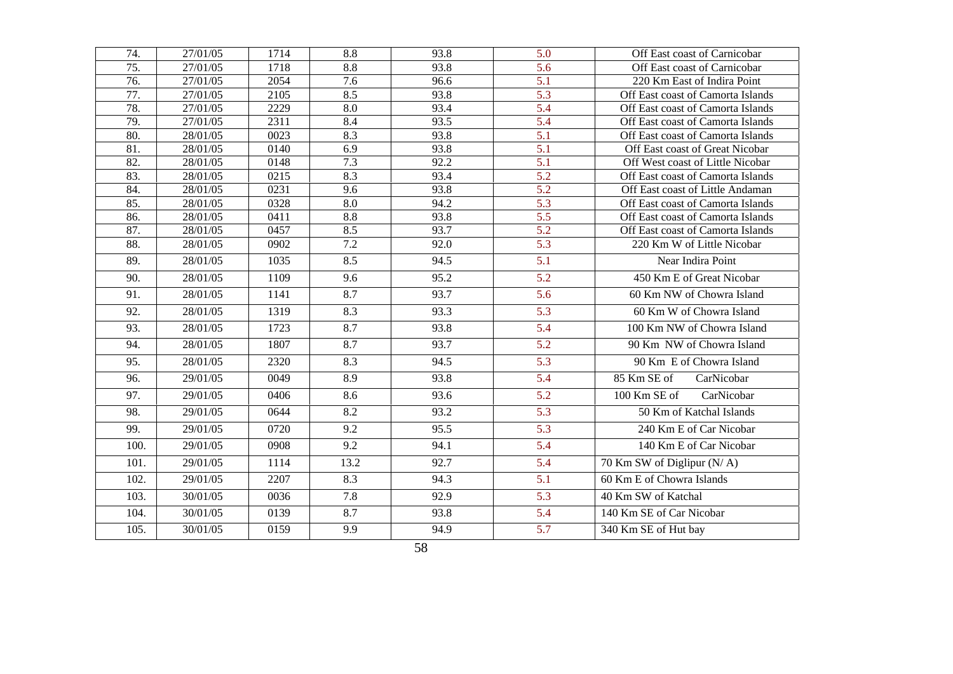| 74.  | 27/01/05 | 1714 | 8.8              | 93.8 | 5.0              | Off East coast of Carnicobar      |
|------|----------|------|------------------|------|------------------|-----------------------------------|
| 75.  | 27/01/05 | 1718 | 8.8              | 93.8 | 5.6              | Off East coast of Carnicobar      |
| 76.  | 27/01/05 | 2054 | 7.6              | 96.6 | $\overline{5.1}$ | 220 Km East of Indira Point       |
| 77.  | 27/01/05 | 2105 | 8.5              | 93.8 | $\overline{5.3}$ | Off East coast of Camorta Islands |
| 78.  | 27/01/05 | 2229 | 8.0              | 93.4 | 5.4              | Off East coast of Camorta Islands |
| 79.  | 27/01/05 | 2311 | 8.4              | 93.5 | 5.4              | Off East coast of Camorta Islands |
| 80.  | 28/01/05 | 0023 | 8.3              | 93.8 | 5.1              | Off East coast of Camorta Islands |
| 81.  | 28/01/05 | 0140 | 6.9              | 93.8 | 5.1              | Off East coast of Great Nicobar   |
| 82.  | 28/01/05 | 0148 | 7.3              | 92.2 | 5.1              | Off West coast of Little Nicobar  |
| 83.  | 28/01/05 | 0215 | 8.3              | 93.4 | $\overline{5.2}$ | Off East coast of Camorta Islands |
| 84.  | 28/01/05 | 0231 | 9.6              | 93.8 | $\overline{5.2}$ | Off East coast of Little Andaman  |
| 85.  | 28/01/05 | 0328 | 8.0              | 94.2 | $\overline{5.3}$ | Off East coast of Camorta Islands |
| 86.  | 28/01/05 | 0411 | 8.8              | 93.8 | $\overline{5.5}$ | Off East coast of Camorta Islands |
| 87.  | 28/01/05 | 0457 | 8.5              | 93.7 | 5.2              | Off East coast of Camorta Islands |
| 88.  | 28/01/05 | 0902 | $\overline{7.2}$ | 92.0 | 5.3              | 220 Km W of Little Nicobar        |
| 89.  | 28/01/05 | 1035 | 8.5              | 94.5 | 5.1              | Near Indira Point                 |
| 90.  | 28/01/05 | 1109 | 9.6              | 95.2 | 5.2              | 450 Km E of Great Nicobar         |
| 91.  | 28/01/05 | 1141 | 8.7              | 93.7 | 5.6              | 60 Km NW of Chowra Island         |
| 92.  | 28/01/05 | 1319 | 8.3              | 93.3 | 5.3              | 60 Km W of Chowra Island          |
| 93.  | 28/01/05 | 1723 | 8.7              | 93.8 | 5.4              | 100 Km NW of Chowra Island        |
| 94.  | 28/01/05 | 1807 | 8.7              | 93.7 | 5.2              | 90 Km NW of Chowra Island         |
| 95.  | 28/01/05 | 2320 | 8.3              | 94.5 | $\overline{5.3}$ | 90 Km E of Chowra Island          |
| 96.  | 29/01/05 | 0049 | 8.9              | 93.8 | 5.4              | 85 Km SE of<br>CarNicobar         |
| 97.  | 29/01/05 | 0406 | 8.6              | 93.6 | 5.2              | 100 Km SE of<br>CarNicobar        |
| 98.  | 29/01/05 | 0644 | 8.2              | 93.2 | 5.3              | 50 Km of Katchal Islands          |
| 99.  | 29/01/05 | 0720 | 9.2              | 95.5 | 5.3              | 240 Km E of Car Nicobar           |
| 100. | 29/01/05 | 0908 | 9.2              | 94.1 | 5.4              | 140 Km E of Car Nicobar           |
| 101. | 29/01/05 | 1114 | 13.2             | 92.7 | 5.4              | 70 Km SW of Diglipur (N/A)        |
| 102. | 29/01/05 | 2207 | 8.3              | 94.3 | 5.1              | 60 Km E of Chowra Islands         |
| 103. | 30/01/05 | 0036 | 7.8              | 92.9 | 5.3              | 40 Km SW of Katchal               |
| 104. | 30/01/05 | 0139 | 8.7              | 93.8 | 5.4              | 140 Km SE of Car Nicobar          |
| 105. | 30/01/05 | 0159 | 9.9              | 94.9 | 5.7              | 340 Km SE of Hut bay              |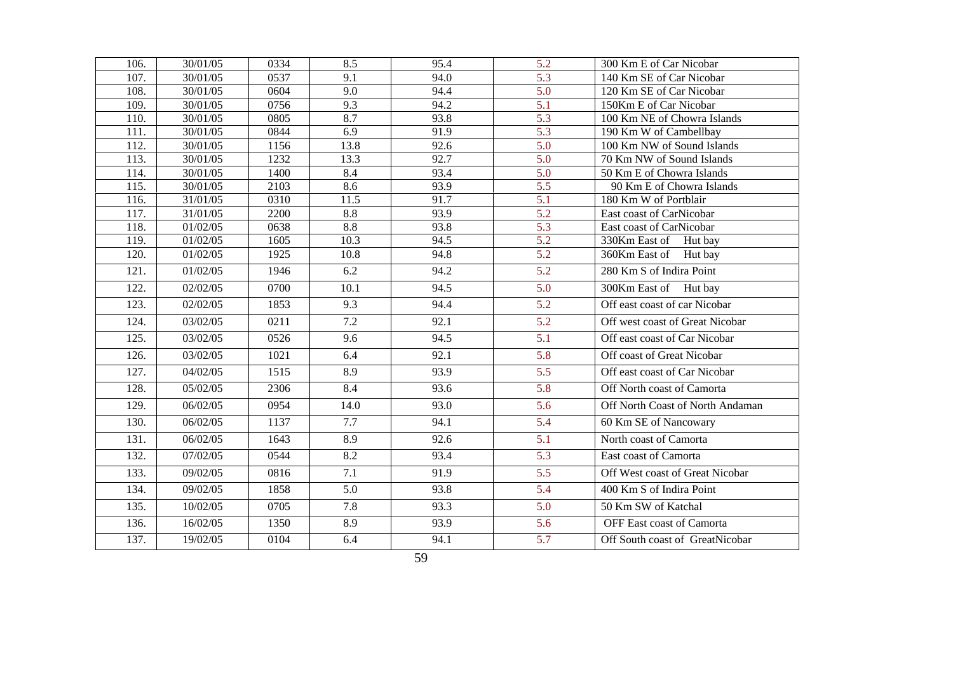| 106. | 30/01/05 | 0334 | 8.5              | 95.4 | 5.2              | 300 Km E of Car Nicobar          |
|------|----------|------|------------------|------|------------------|----------------------------------|
| 107. | 30/01/05 | 0537 | 9.1              | 94.0 | $\overline{5.3}$ | 140 Km SE of Car Nicobar         |
| 108. | 30/01/05 | 0604 | 9.0              | 94.4 | 5.0              | 120 Km SE of Car Nicobar         |
| 109. | 30/01/05 | 0756 | 9.3              | 94.2 | 5.1              | 150Km E of Car Nicobar           |
| 110. | 30/01/05 | 0805 | 8.7              | 93.8 | 5.3              | 100 Km NE of Chowra Islands      |
| 111. | 30/01/05 | 0844 | 6.9              | 91.9 | $\overline{5.3}$ | 190 Km W of Cambellbay           |
| 112. | 30/01/05 | 1156 | 13.8             | 92.6 | 5.0              | 100 Km NW of Sound Islands       |
| 113. | 30/01/05 | 1232 | 13.3             | 92.7 | 5.0              | 70 Km NW of Sound Islands        |
| 114. | 30/01/05 | 1400 | 8.4              | 93.4 | 5.0              | 50 Km E of Chowra Islands        |
| 115. | 30/01/05 | 2103 | 8.6              | 93.9 | $\overline{5.5}$ | 90 Km E of Chowra Islands        |
| 116. | 31/01/05 | 0310 | 11.5             | 91.7 | 5.1              | 180 Km W of Portblair            |
| 117. | 31/01/05 | 2200 | 8.8              | 93.9 | $\overline{5.2}$ | East coast of CarNicobar         |
| 118. | 01/02/05 | 0638 | $\overline{8.8}$ | 93.8 | $\overline{5.3}$ | East coast of CarNicobar         |
| 119. | 01/02/05 | 1605 | 10.3             | 94.5 | 5.2              | 330Km East of Hut bay            |
| 120. | 01/02/05 | 1925 | 10.8             | 94.8 | 5.2              | 360Km East of Hut bay            |
| 121. | 01/02/05 | 1946 | 6.2              | 94.2 | 5.2              | 280 Km S of Indira Point         |
| 122. | 02/02/05 | 0700 | 10.1             | 94.5 | 5.0              | 300Km East of Hut bay            |
| 123. | 02/02/05 | 1853 | 9.3              | 94.4 | 5.2              | Off east coast of car Nicobar    |
| 124. | 03/02/05 | 0211 | 7.2              | 92.1 | 5.2              | Off west coast of Great Nicobar  |
| 125. | 03/02/05 | 0526 | 9.6              | 94.5 | 5.1              | Off east coast of Car Nicobar    |
| 126. | 03/02/05 | 1021 | 6.4              | 92.1 | 5.8              | Off coast of Great Nicobar       |
| 127. | 04/02/05 | 1515 | 8.9              | 93.9 | $\overline{5.5}$ | Off east coast of Car Nicobar    |
| 128. | 05/02/05 | 2306 | 8.4              | 93.6 | 5.8              | Off North coast of Camorta       |
| 129. | 06/02/05 | 0954 | 14.0             | 93.0 | 5.6              | Off North Coast of North Andaman |
| 130. | 06/02/05 | 1137 | 7.7              | 94.1 | 5.4              | 60 Km SE of Nancowary            |
| 131. | 06/02/05 | 1643 | 8.9              | 92.6 | $\overline{5.1}$ | North coast of Camorta           |
| 132. | 07/02/05 | 0544 | 8.2              | 93.4 | 5.3              | East coast of Camorta            |
| 133. | 09/02/05 | 0816 | 7.1              | 91.9 | 5.5              | Off West coast of Great Nicobar  |
| 134. | 09/02/05 | 1858 | 5.0              | 93.8 | 5.4              | 400 Km S of Indira Point         |
| 135. | 10/02/05 | 0705 | 7.8              | 93.3 | 5.0              | 50 Km SW of Katchal              |
| 136. | 16/02/05 | 1350 | 8.9              | 93.9 | 5.6              | OFF East coast of Camorta        |
| 137. | 19/02/05 | 0104 | 6.4              | 94.1 | 5.7              | Off South coast of GreatNicobar  |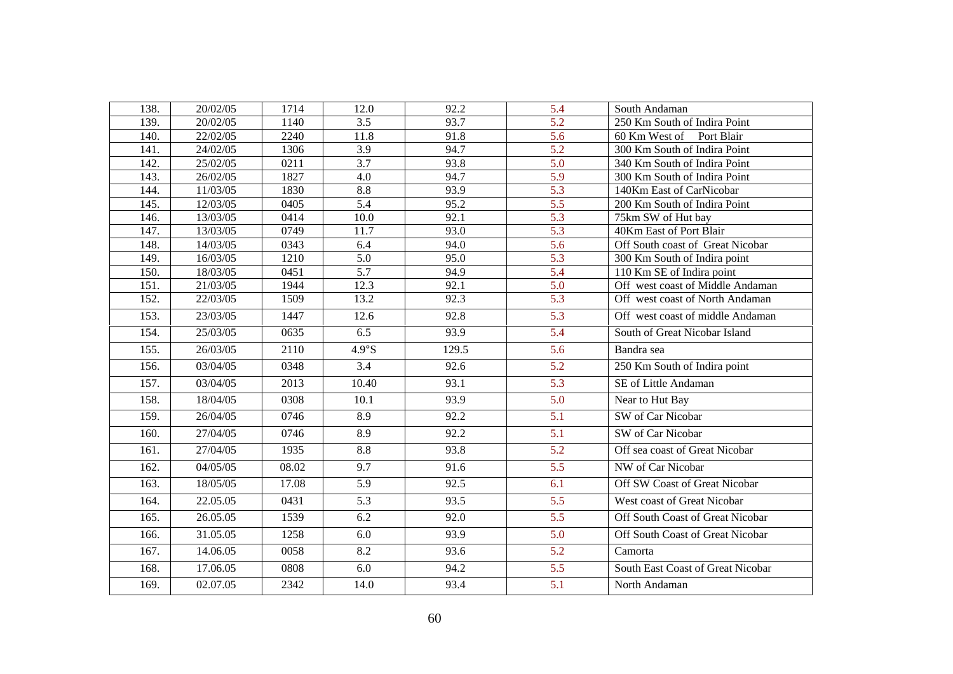| 138. | 20/02/05 | 1714  | 12.0             | 92.2  | 5.4              | South Andaman                     |
|------|----------|-------|------------------|-------|------------------|-----------------------------------|
| 139. | 20/02/05 | 1140  | 3.5              | 93.7  | $\overline{5.2}$ | 250 Km South of Indira Point      |
| 140. | 22/02/05 | 2240  | 11.8             | 91.8  | 5.6              | 60 Km West of Port Blair          |
| 141. | 24/02/05 | 1306  | 3.9              | 94.7  | 5.2              | 300 Km South of Indira Point      |
| 142. | 25/02/05 | 0211  | $\overline{3.7}$ | 93.8  | $\overline{5.0}$ | 340 Km South of Indira Point      |
| 143. | 26/02/05 | 1827  | 4.0              | 94.7  | $\overline{5.9}$ | 300 Km South of Indira Point      |
| 144. | 11/03/05 | 1830  | 8.8              | 93.9  | 5.3              | 140Km East of CarNicobar          |
| 145. | 12/03/05 | 0405  | $\overline{5.4}$ | 95.2  | $\overline{5.5}$ | 200 Km South of Indira Point      |
| 146. | 13/03/05 | 0414  | 10.0             | 92.1  | 5.3              | 75km SW of Hut bay                |
| 147. | 13/03/05 | 0749  | 11.7             | 93.0  | 5.3              | 40Km East of Port Blair           |
| 148. | 14/03/05 | 0343  | 6.4              | 94.0  | $\overline{5.6}$ | Off South coast of Great Nicobar  |
| 149. | 16/03/05 | 1210  | $\overline{5.0}$ | 95.0  | 5.3              | 300 Km South of Indira point      |
| 150. | 18/03/05 | 0451  | $\overline{5.7}$ | 94.9  | $\overline{5.4}$ | 110 Km SE of Indira point         |
| 151. | 21/03/05 | 1944  | 12.3             | 92.1  | 5.0              | Off west coast of Middle Andaman  |
| 152. | 22/03/05 | 1509  | 13.2             | 92.3  | 5.3              | Off west coast of North Andaman   |
| 153. | 23/03/05 | 1447  | 12.6             | 92.8  | $\overline{5.3}$ | Off west coast of middle Andaman  |
| 154. | 25/03/05 | 0635  | 6.5              | 93.9  | 5.4              | South of Great Nicobar Island     |
| 155. | 26/03/05 | 2110  | $4.9^\circ$ S    | 129.5 | 5.6              | Bandra sea                        |
| 156. | 03/04/05 | 0348  | 3.4              | 92.6  | 5.2              | 250 Km South of Indira point      |
| 157. | 03/04/05 | 2013  | 10.40            | 93.1  | $\overline{5.3}$ | SE of Little Andaman              |
| 158. | 18/04/05 | 0308  | 10.1             | 93.9  | 5.0              | Near to Hut Bay                   |
| 159. | 26/04/05 | 0746  | 8.9              | 92.2  | $\overline{5.1}$ | SW of Car Nicobar                 |
| 160. | 27/04/05 | 0746  | 8.9              | 92.2  | 5.1              | SW of Car Nicobar                 |
| 161. | 27/04/05 | 1935  | 8.8              | 93.8  | 5.2              | Off sea coast of Great Nicobar    |
| 162. | 04/05/05 | 08.02 | $\overline{9.7}$ | 91.6  | $\overline{5.5}$ | NW of Car Nicobar                 |
| 163. | 18/05/05 | 17.08 | 5.9              | 92.5  | 6.1              | Off SW Coast of Great Nicobar     |
| 164. | 22.05.05 | 0431  | 5.3              | 93.5  | 5.5              | West coast of Great Nicobar       |
| 165. | 26.05.05 | 1539  | 6.2              | 92.0  | 5.5              | Off South Coast of Great Nicobar  |
| 166. | 31.05.05 | 1258  | 6.0              | 93.9  | 5.0              | Off South Coast of Great Nicobar  |
| 167. | 14.06.05 | 0058  | 8.2              | 93.6  | 5.2              | Camorta                           |
| 168. | 17.06.05 | 0808  | 6.0              | 94.2  | 5.5              | South East Coast of Great Nicobar |
| 169. | 02.07.05 | 2342  | 14.0             | 93.4  | 5.1              | North Andaman                     |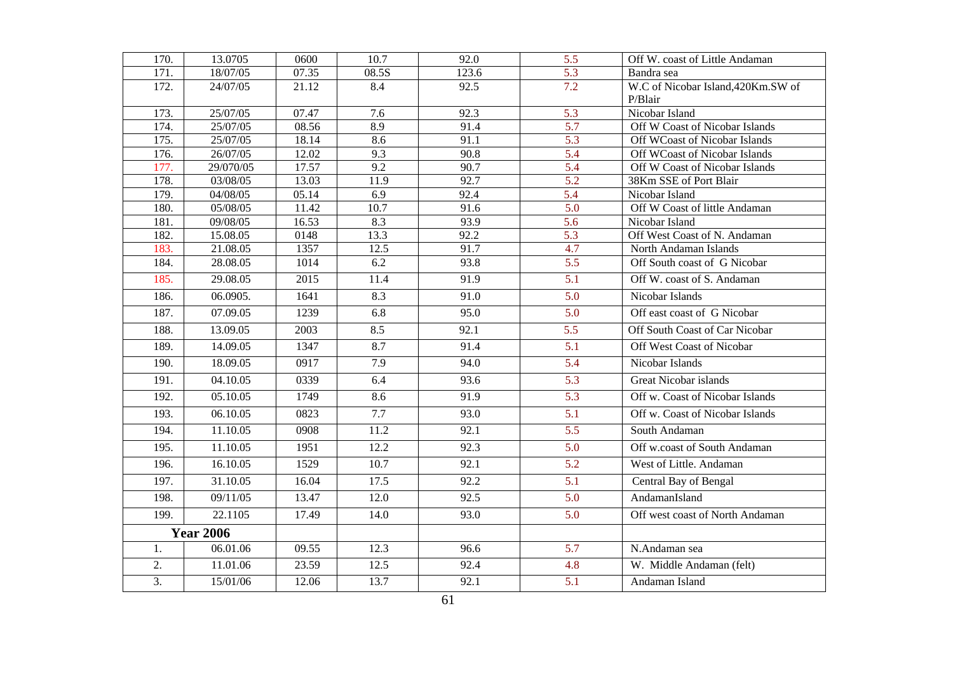| 170.             | 13.0705          | 0600  | 10.7              | 92.0  | 5.5              | Off W. coast of Little Andaman     |
|------------------|------------------|-------|-------------------|-------|------------------|------------------------------------|
| 171.             | 18/07/05         | 07.35 | 08.5S             | 123.6 | $\overline{5.3}$ | Bandra sea                         |
| 172.             | 24/07/05         | 21.12 | 8.4               | 92.5  | 7.2              | W.C of Nicobar Island, 420Km.SW of |
|                  |                  |       |                   |       |                  | P/Blair                            |
| 173.             | 25/07/05         | 07.47 | 7.6               | 92.3  | 5.3              | Nicobar Island                     |
| 174.             | 25/07/05         | 08.56 | 8.9               | 91.4  | 5.7              | Off W Coast of Nicobar Islands     |
| 175.             | 25/07/05         | 18.14 | 8.6               | 91.1  | 5.3              | Off WCoast of Nicobar Islands      |
| 176.             | 26/07/05         | 12.02 | 9.3               | 90.8  | 5.4              | Off WCoast of Nicobar Islands      |
| 177.             | 29/070/05        | 17.57 | 9.2               | 90.7  | $\overline{5.4}$ | Off W Coast of Nicobar Islands     |
| 178.             | 03/08/05         | 13.03 | 11.9              | 92.7  | 5.2              | 38Km SSE of Port Blair             |
| 179.             | 04/08/05         | 05.14 | 6.9               | 92.4  | 5.4              | Nicobar Island                     |
| 180.             | 05/08/05         | 11.42 | $\overline{10.7}$ | 91.6  | $\overline{5.0}$ | Off W Coast of little Andaman      |
| 181.             | 09/08/05         | 16.53 | 8.3               | 93.9  | $\overline{5.6}$ | Nicobar Island                     |
| 182.             | 15.08.05         | 0148  | 13.3              | 92.2  | 5.3              | Off West Coast of N. Andaman       |
| 183.             | 21.08.05         | 1357  | 12.5              | 91.7  | 4.7              | North Andaman Islands              |
| 184.             | 28.08.05         | 1014  | 6.2               | 93.8  | 5.5              | Off South coast of G Nicobar       |
| 185.             | 29.08.05         | 2015  | 11.4              | 91.9  | 5.1              | Off W. coast of S. Andaman         |
| 186.             | 06.0905.         | 1641  | 8.3               | 91.0  | 5.0              | Nicobar Islands                    |
| 187.             | 07.09.05         | 1239  | 6.8               | 95.0  | 5.0              | Off east coast of G Nicobar        |
| 188.             | 13.09.05         | 2003  | 8.5               | 92.1  | 5.5              | Off South Coast of Car Nicobar     |
| 189.             | 14.09.05         | 1347  | 8.7               | 91.4  | 5.1              | Off West Coast of Nicobar          |
| 190.             | 18.09.05         | 0917  | 7.9               | 94.0  | 5.4              | Nicobar Islands                    |
| 191.             | 04.10.05         | 0339  | 6.4               | 93.6  | $\overline{5.3}$ | <b>Great Nicobar islands</b>       |
| 192.             | 05.10.05         | 1749  | 8.6               | 91.9  | 5.3              | Off w. Coast of Nicobar Islands    |
| 193.             | 06.10.05         | 0823  | 7.7               | 93.0  | 5.1              | Off w. Coast of Nicobar Islands    |
| 194.             | 11.10.05         | 0908  | $\overline{11.2}$ | 92.1  | $\overline{5.5}$ | South Andaman                      |
| 195.             | 11.10.05         | 1951  | 12.2              | 92.3  | 5.0              | Off w.coast of South Andaman       |
| 196.             | 16.10.05         | 1529  | 10.7              | 92.1  | 5.2              | West of Little. Andaman            |
| 197.             | 31.10.05         | 16.04 | 17.5              | 92.2  | 5.1              | Central Bay of Bengal              |
| 198.             | 09/11/05         | 13.47 | 12.0              | 92.5  | 5.0              | AndamanIsland                      |
| 199.             | 22.1105          | 17.49 | 14.0              | 93.0  | 5.0              | Off west coast of North Andaman    |
|                  | <b>Year 2006</b> |       |                   |       |                  |                                    |
| 1.               | 06.01.06         | 09.55 | 12.3              | 96.6  | $\overline{5.7}$ | $\overline{N}$ . Andaman sea       |
| 2.               | 11.01.06         | 23.59 | 12.5              | 92.4  | 4.8              | W. Middle Andaman (felt)           |
| $\overline{3}$ . | 15/01/06         | 12.06 | 13.7              | 92.1  | 5.1              | Andaman Island                     |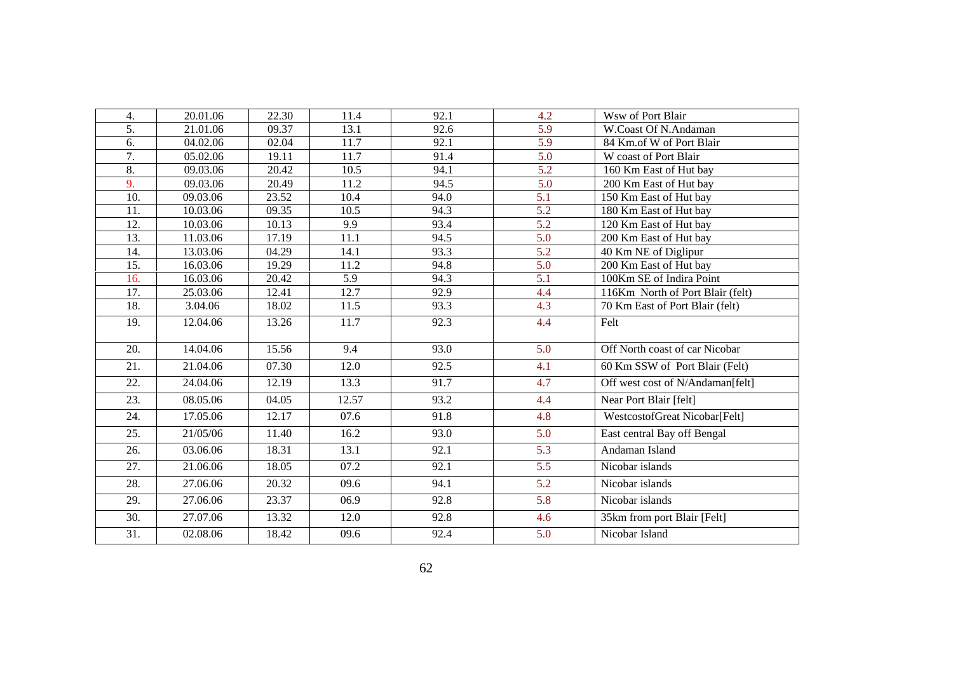| 4.               | 20.01.06 | 22.30 | 11.4  | 92.1 | 4.2              | Wsw of Port Blair                |
|------------------|----------|-------|-------|------|------------------|----------------------------------|
| 5.               | 21.01.06 | 09.37 | 13.1  | 92.6 | 5.9              | W.Coast Of N.Andaman             |
| 6.               | 04.02.06 | 02.04 | 11.7  | 92.1 | 5.9              | 84 Km.of W of Port Blair         |
| $\overline{7}$ . | 05.02.06 | 19.11 | 11.7  | 91.4 | 5.0              | W coast of Port Blair            |
| 8.               | 09.03.06 | 20.42 | 10.5  | 94.1 | 5.2              | 160 Km East of Hut bay           |
| $\overline{9}$ . | 09.03.06 | 20.49 | 11.2  | 94.5 | $\overline{5.0}$ | 200 Km East of Hut bay           |
| 10.              | 09.03.06 | 23.52 | 10.4  | 94.0 | 5.1              | 150 Km East of Hut bay           |
| 11.              | 10.03.06 | 09.35 | 10.5  | 94.3 | 5.2              | 180 Km East of Hut bay           |
| 12.              | 10.03.06 | 10.13 | 9.9   | 93.4 | $\overline{5.2}$ | 120 Km East of Hut bay           |
| 13.              | 11.03.06 | 17.19 | 11.1  | 94.5 | 5.0              | 200 Km East of Hut bay           |
| 14.              | 13.03.06 | 04.29 | 14.1  | 93.3 | 5.2              | 40 Km NE of Diglipur             |
| 15.              | 16.03.06 | 19.29 | 11.2  | 94.8 | $\overline{5.0}$ | 200 Km East of Hut bay           |
| 16.              | 16.03.06 | 20.42 | 5.9   | 94.3 | 5.1              | 100Km SE of Indira Point         |
| 17.              | 25.03.06 | 12.41 | 12.7  | 92.9 | 4.4              | 116Km North of Port Blair (felt) |
| 18.              | 3.04.06  | 18.02 | 11.5  | 93.3 | $\overline{4.3}$ | 70 Km East of Port Blair (felt)  |
| 19.              | 12.04.06 | 13.26 | 11.7  | 92.3 | 4.4              | Felt                             |
| 20.              | 14.04.06 | 15.56 | 9.4   | 93.0 | 5.0              | Off North coast of car Nicobar   |
| 21.              | 21.04.06 | 07.30 | 12.0  | 92.5 | 4.1              | 60 Km SSW of Port Blair (Felt)   |
| 22.              | 24.04.06 | 12.19 | 13.3  | 91.7 | 4.7              | Off west cost of N/Andaman[felt] |
| 23.              | 08.05.06 | 04.05 | 12.57 | 93.2 | 4.4              | Near Port Blair [felt]           |
| 24.              | 17.05.06 | 12.17 | 07.6  | 91.8 | 4.8              | WestcostofGreat Nicobar[Felt]    |
| 25.              | 21/05/06 | 11.40 | 16.2  | 93.0 | 5.0              | East central Bay off Bengal      |
| 26.              | 03.06.06 | 18.31 | 13.1  | 92.1 | 5.3              | Andaman Island                   |
| 27.              | 21.06.06 | 18.05 | 07.2  | 92.1 | 5.5              | Nicobar islands                  |
| 28.              | 27.06.06 | 20.32 | 09.6  | 94.1 | 5.2              | Nicobar islands                  |
| 29.              | 27.06.06 | 23.37 | 06.9  | 92.8 | 5.8              | Nicobar islands                  |
| 30.              | 27.07.06 | 13.32 | 12.0  | 92.8 | 4.6              | 35km from port Blair [Felt]      |
| 31.              | 02.08.06 | 18.42 | 09.6  | 92.4 | 5.0              | Nicobar Island                   |